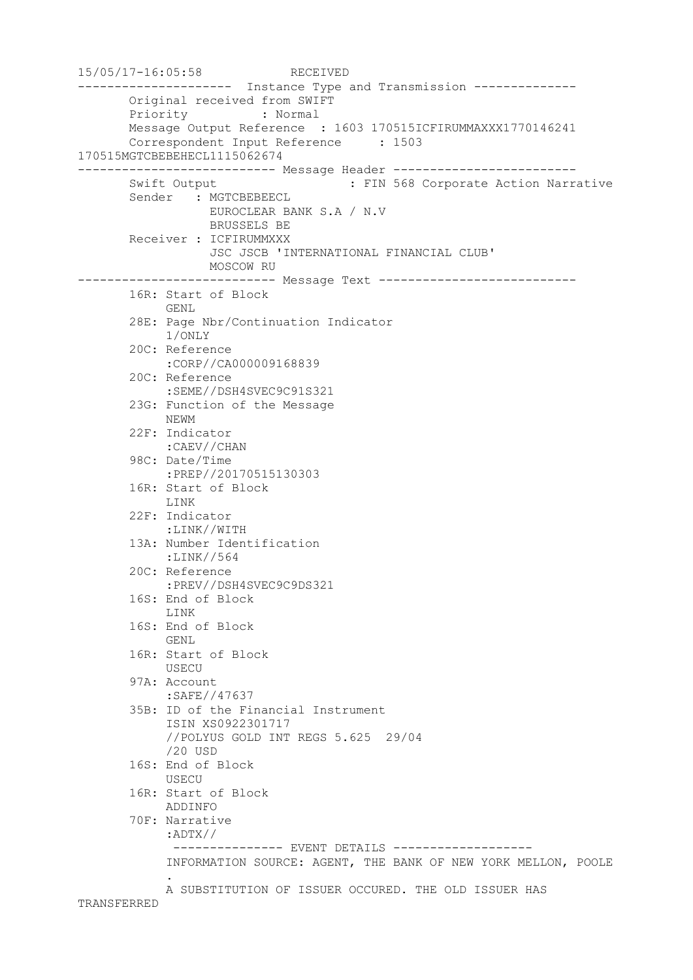```
15/05/17-16:05:58 RECEIVED
--------------------- Instance Type and Transmission --------------
       Original received from SWIFT
        Priority : Normal
       Message Output Reference : 1603 170515ICFIRUMMAXXX1770146241
        Correspondent Input Reference : 1503 
170515MGTCBEBEHECL1115062674
--------------------------- Message Header -------------------------
      Swift Output : FIN 568 Corporate Action Narrative
       Sender : MGTCBEBEECL
                  EUROCLEAR BANK S.A / N.V
                  BRUSSELS BE
       Receiver : ICFIRUMMXXX
                  JSC JSCB 'INTERNATIONAL FINANCIAL CLUB'
                 MOSCOW RU
--------------------------- Message Text ---------------------------
        16R: Start of Block
            GENL
        28E: Page Nbr/Continuation Indicator
            1/ONLY
        20C: Reference
             :CORP//CA000009168839
        20C: Reference
             :SEME//DSH4SVEC9C91S321
        23G: Function of the Message
            NEWM
        22F: Indicator
            :CAEV//CHAN
        98C: Date/Time
            :PREP//20170515130303
        16R: Start of Block
            LINK
        22F: Indicator
             :LINK//WITH
        13A: Number Identification
            :LINK//564
        20C: Reference
            :PREV//DSH4SVEC9C9DS321
        16S: End of Block
            LINK
        16S: End of Block
            GENL
        16R: Start of Block
            USECU
        97A: Account
             :SAFE//47637
        35B: ID of the Financial Instrument
             ISIN XS0922301717
             //POLYUS GOLD INT REGS 5.625 29/04
             /20 USD
        16S: End of Block
            USECU
        16R: Start of Block
            ADDINFO
        70F: Narrative
             :ADTX//
              --------------- EVENT DETAILS -------------------
             INFORMATION SOURCE: AGENT, THE BANK OF NEW YORK MELLON, POOLE
 .
             A SUBSTITUTION OF ISSUER OCCURED. THE OLD ISSUER HAS 
TRANSFERRED
```